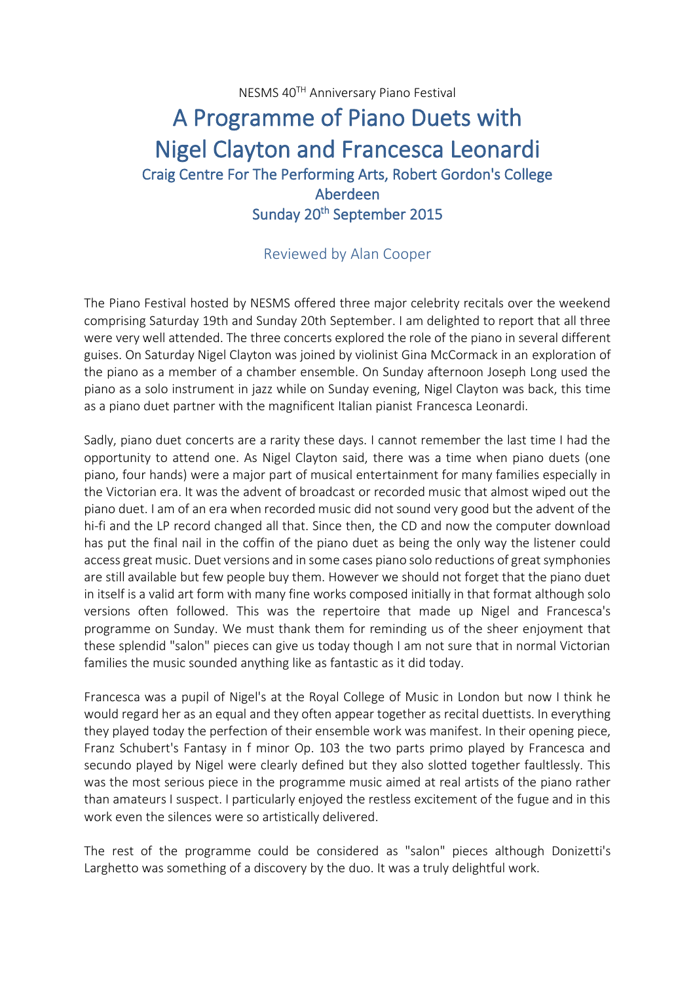NESMS 40TH Anniversary Piano Festival

## A Programme of Piano Duets with Nigel Clayton and Francesca Leonardi Craig Centre For The Performing Arts, Robert Gordon's College Aberdeen Sunday 20<sup>th</sup> September 2015

## Reviewed by Alan Cooper

The Piano Festival hosted by NESMS offered three major celebrity recitals over the weekend comprising Saturday 19th and Sunday 20th September. I am delighted to report that all three were very well attended. The three concerts explored the role of the piano in several different guises. On Saturday Nigel Clayton was joined by violinist Gina McCormack in an exploration of the piano as a member of a chamber ensemble. On Sunday afternoon Joseph Long used the piano as a solo instrument in jazz while on Sunday evening, Nigel Clayton was back, this time as a piano duet partner with the magnificent Italian pianist Francesca Leonardi.

Sadly, piano duet concerts are a rarity these days. I cannot remember the last time I had the opportunity to attend one. As Nigel Clayton said, there was a time when piano duets (one piano, four hands) were a major part of musical entertainment for many families especially in the Victorian era. It was the advent of broadcast or recorded music that almost wiped out the piano duet. I am of an era when recorded music did not sound very good but the advent of the hi-fi and the LP record changed all that. Since then, the CD and now the computer download has put the final nail in the coffin of the piano duet as being the only way the listener could access great music. Duet versions and in some cases piano solo reductions of great symphonies are still available but few people buy them. However we should not forget that the piano duet in itself is a valid art form with many fine works composed initially in that format although solo versions often followed. This was the repertoire that made up Nigel and Francesca's programme on Sunday. We must thank them for reminding us of the sheer enjoyment that these splendid "salon" pieces can give us today though I am not sure that in normal Victorian families the music sounded anything like as fantastic as it did today.

Francesca was a pupil of Nigel's at the Royal College of Music in London but now I think he would regard her as an equal and they often appear together as recital duettists. In everything they played today the perfection of their ensemble work was manifest. In their opening piece, Franz Schubert's Fantasy in f minor Op. 103 the two parts primo played by Francesca and secundo played by Nigel were clearly defined but they also slotted together faultlessly. This was the most serious piece in the programme music aimed at real artists of the piano rather than amateurs I suspect. I particularly enjoyed the restless excitement of the fugue and in this work even the silences were so artistically delivered.

The rest of the programme could be considered as "salon" pieces although Donizetti's Larghetto was something of a discovery by the duo. It was a truly delightful work.